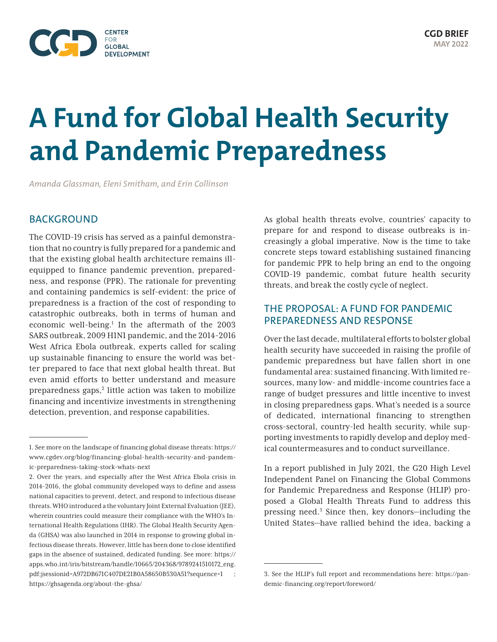

# **A Fund for Global Health Security and Pandemic Preparedness**

*Amanda Glassman, Eleni Smitham, and Erin Collinson*

## BACKGROUND

The COVID-19 crisis has served as a painful demonstration that no country is fully prepared for a pandemic and that the existing global health architecture remains illequipped to finance pandemic prevention, preparedness, and response (PPR). The rationale for preventing and containing pandemics is self-evident: the price of preparedness is a fraction of the cost of responding to catastrophic outbreaks, both in terms of human and economic well-being.<sup>1</sup> In the aftermath of the 2003 SARS outbreak, 2009 H1N1 pandemic, and the 2014-2016 West Africa Ebola outbreak, experts called for scaling up sustainable financing to ensure the world was better prepared to face that next global health threat. But even amid efforts to better understand and measure preparedness gaps,<sup>2</sup> little action was taken to mobilize financing and incentivize investments in strengthening detection, prevention, and response capabilities.

As global health threats evolve, countries' capacity to prepare for and respond to disease outbreaks is increasingly a global imperative. Now is the time to take concrete steps toward establishing sustained financing for pandemic PPR to help bring an end to the ongoing COVID-19 pandemic, combat future health security threats, and break the costly cycle of neglect.

# THE PROPOSAL: A FUND FOR PANDEMIC PREPAREDNESS AND RESPONSE

Over the last decade, multilateral efforts to bolster global health security have succeeded in raising the profile of pandemic preparedness but have fallen short in one fundamental area: sustained financing. With limited resources, many low- and middle-income countries face a range of budget pressures and little incentive to invest in closing preparedness gaps. What's needed is a source of dedicated, international financing to strengthen cross-sectoral, country-led health security, while supporting investments to rapidly develop and deploy medical countermeasures and to conduct surveillance.

In a report published in July 2021, the G20 High Level Independent Panel on Financing the Global Commons for Pandemic Preparedness and Response (HLIP) proposed a Global Health Threats Fund to address this pressing need.3 Since then, key donors—including the United States—have rallied behind the idea, backing a

<sup>1.</sup> See more on the landscape of financing global disease threats: [https://](https://www.cgdev.org/blog/financing-global-health-security-and-pandemic-preparedness-taking-stock-whats-next) [www.cgdev.org/blog/financing-global-health-security-and-pandem](https://www.cgdev.org/blog/financing-global-health-security-and-pandemic-preparedness-taking-stock-whats-next)[ic-preparedness-taking-stock-whats-next](https://www.cgdev.org/blog/financing-global-health-security-and-pandemic-preparedness-taking-stock-whats-next)

<sup>2.</sup> Over the years, and especially after the West Africa Ebola crisis in 2014-2016, the global community developed ways to define and assess national capacities to prevent, detect, and respond to infectious disease threats. WHO introduced a the voluntary Joint External Evaluation (JEE), wherein countries could measure their compliance with the WHO's International Health Regulations (IHR). The Global Health Security Agenda (GHSA) was also launched in 2014 in response to growing global infectious disease threats. However, little has been done to close identified gaps in the absence of sustained, dedicated funding. See more: [https://](https://apps.who.int/iris/bitstream/handle/10665/204368/9789241510172_eng.pdf;jsessionid=A972DB671C407DE21B0A58650B530A51?sequence=1) [apps.who.int/iris/bitstream/handle/10665/204368/9789241510172\\_eng.](https://apps.who.int/iris/bitstream/handle/10665/204368/9789241510172_eng.pdf;jsessionid=A972DB671C407DE21B0A58650B530A51?sequence=1) [pdf;jsessionid=A972DB671C407DE21B0A58650B530A51?sequence=1](https://apps.who.int/iris/bitstream/handle/10665/204368/9789241510172_eng.pdf;jsessionid=A972DB671C407DE21B0A58650B530A51?sequence=1) ; <https://ghsagenda.org/about-the-ghsa/>

<sup>3.</sup> See the HLIP's full report and recommendations here: [https://pan](https://pandemic-financing.org/report/foreword/)[demic-financing.org/report/foreword/](https://pandemic-financing.org/report/foreword/)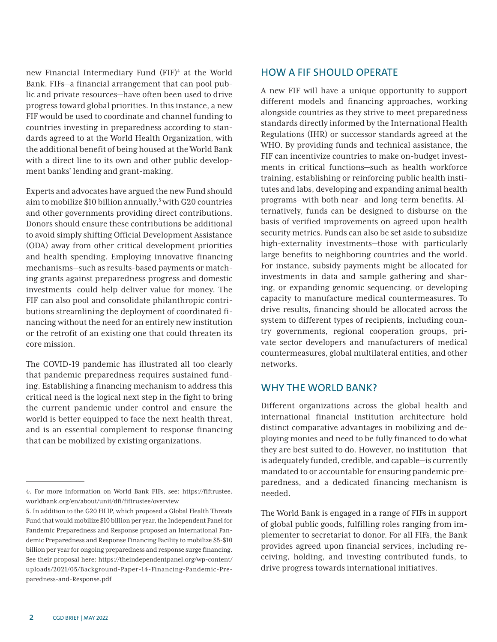new Financial Intermediary Fund (FIF)<sup>4</sup> at the World Bank. FIFs—a financial arrangement that can pool public and private resources—have often been used to drive progress toward global priorities. In this instance, a new FIF would be used to coordinate and channel funding to countries investing in preparedness according to standards agreed to at the World Health Organization, with the additional benefit of being housed at the World Bank with a direct line to its own and other public development banks' lending and grant-making.

Experts and advocates have argued the new Fund should aim to mobilize \$10 billion annually,<sup>5</sup> with G20 countries and other governments providing direct contributions. Donors should ensure these contributions be additional to avoid simply shifting Official Development Assistance (ODA) away from other critical development priorities and health spending. Employing innovative financing mechanisms—such as results-based payments or matching grants against preparedness progress and domestic investments—could help deliver value for money. The FIF can also pool and consolidate philanthropic contributions streamlining the deployment of coordinated financing without the need for an entirely new institution or the retrofit of an existing one that could threaten its core mission.

The COVID-19 pandemic has illustrated all too clearly that pandemic preparedness requires sustained funding. Establishing a financing mechanism to address this critical need is the logical next step in the fight to bring the current pandemic under control and ensure the world is better equipped to face the next health threat, and is an essential complement to response financing that can be mobilized by existing organizations.

# HOW A FIF SHOULD OPERATE

A new FIF will have a unique opportunity to support different models and financing approaches, working alongside countries as they strive to meet preparedness standards directly informed by the International Health Regulations (IHR) or successor standards agreed at the WHO. By providing funds and technical assistance, the FIF can incentivize countries to make on-budget investments in critical functions—such as health workforce training, establishing or reinforcing public health institutes and labs, developing and expanding animal health programs—with both near- and long-term benefits. Alternatively, funds can be designed to disburse on the basis of verified improvements on agreed upon health security metrics. Funds can also be set aside to subsidize high-externality investments—those with particularly large benefits to neighboring countries and the world. For instance, subsidy payments might be allocated for investments in data and sample gathering and sharing, or expanding genomic sequencing, or developing capacity to manufacture medical countermeasures. To drive results, financing should be allocated across the system to different types of recipients, including country governments, regional cooperation groups, private sector developers and manufacturers of medical countermeasures, global multilateral entities, and other networks.

# WHY THE WORLD BANK?

Different organizations across the global health and international financial institution architecture hold distinct comparative advantages in mobilizing and deploying monies and need to be fully financed to do what they are best suited to do. However, no institution—that is adequately funded, credible, and capable—is currently mandated to or accountable for ensuring pandemic preparedness, and a dedicated financing mechanism is needed.

The World Bank is engaged in a range of FIFs in support of global public goods, fulfilling roles ranging from implementer to secretariat to donor. For all FIFs, the Bank provides agreed upon financial services, including receiving, holding, and investing contributed funds, to drive progress towards international initiatives.

<sup>4.</sup> For more information on World Bank FIFs, see: [https://fiftrustee.](https://fiftrustee.worldbank.org/en/about/unit/dfi/fiftrustee/overview) [worldbank.org/en/about/unit/dfi/fiftrustee/overview](https://fiftrustee.worldbank.org/en/about/unit/dfi/fiftrustee/overview)

<sup>5.</sup> In addition to the G20 HLIP, which proposed a Global Health Threats Fund that would mobilize \$10 billion per year, the Independent Panel for Pandemic Preparedness and Response proposed an International Pandemic Preparedness and Response Financing Facility to mobilize \$5-\$10 billion per year for ongoing preparedness and response surge financing. See their proposal here: [https://theindependentpanel.org/wp-content/](https://theindependentpanel.org/wp-content/uploads/2021/05/Background-Paper-14-Financing-Pandemic-Preparedness-and-Response.pdf) [uploads/2021/05/Background-Paper-14-Financing-Pandemic-Pre](https://theindependentpanel.org/wp-content/uploads/2021/05/Background-Paper-14-Financing-Pandemic-Preparedness-and-Response.pdf)[paredness-and-Response.pdf](https://theindependentpanel.org/wp-content/uploads/2021/05/Background-Paper-14-Financing-Pandemic-Preparedness-and-Response.pdf)